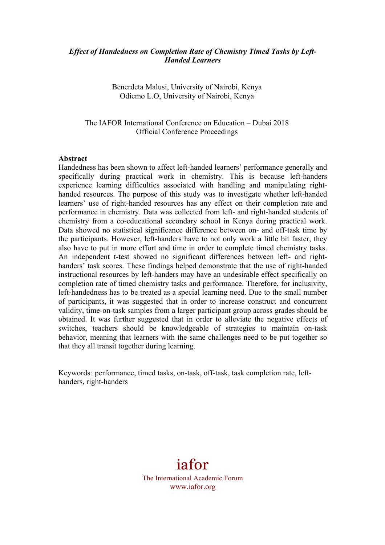### *Effect of Handedness on Completion Rate of Chemistry Timed Tasks by Left-Handed Learners*

Benerdeta Malusi, University of Nairobi, Kenya Odiemo L.O, University of Nairobi, Kenya

The IAFOR International Conference on Education – Dubai 2018 Official Conference Proceedings

#### **Abstract**

Handedness has been shown to affect left-handed learners' performance generally and specifically during practical work in chemistry. This is because left-handers experience learning difficulties associated with handling and manipulating righthanded resources. The purpose of this study was to investigate whether left-handed learners' use of right-handed resources has any effect on their completion rate and performance in chemistry. Data was collected from left- and right-handed students of chemistry from a co-educational secondary school in Kenya during practical work. Data showed no statistical significance difference between on- and off-task time by the participants. However, left-handers have to not only work a little bit faster, they also have to put in more effort and time in order to complete timed chemistry tasks. An independent t-test showed no significant differences between left- and righthanders' task scores. These findings helped demonstrate that the use of right-handed instructional resources by left-handers may have an undesirable effect specifically on completion rate of timed chemistry tasks and performance. Therefore, for inclusivity, left-handedness has to be treated as a special learning need. Due to the small number of participants, it was suggested that in order to increase construct and concurrent validity, time-on-task samples from a larger participant group across grades should be obtained. It was further suggested that in order to alleviate the negative effects of switches, teachers should be knowledgeable of strategies to maintain on-task behavior, meaning that learners with the same challenges need to be put together so that they all transit together during learning.

Keywords*:* performance, timed tasks, on-task, off-task, task completion rate, lefthanders, right-handers



The International Academic Forum www.iafor.org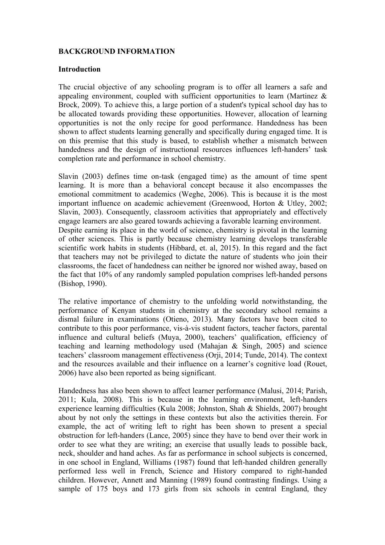# **BACKGROUND INFORMATION**

#### **Introduction**

The crucial objective of any schooling program is to offer all learners a safe and appealing environment, coupled with sufficient opportunities to learn (Martinez & Brock, 2009). To achieve this, a large portion of a student's typical school day has to be allocated towards providing these opportunities. However, allocation of learning opportunities is not the only recipe for good performance. Handedness has been shown to affect students learning generally and specifically during engaged time. It is on this premise that this study is based, to establish whether a mismatch between handedness and the design of instructional resources influences left-handers' task completion rate and performance in school chemistry.

Slavin (2003) defines time on-task (engaged time) as the amount of time spent learning. It is more than a behavioral concept because it also encompasses the emotional commitment to academics (Weghe, 2006). This is because it is the most important influence on academic achievement (Greenwood, Horton & Utley, 2002; Slavin, 2003). Consequently, classroom activities that appropriately and effectively engage learners are also geared towards achieving a favorable learning environment. Despite earning its place in the world of science, chemistry is pivotal in the learning of other sciences. This is partly because chemistry learning develops transferable scientific work habits in students (Hibbard, et. al, 2015). In this regard and the fact that teachers may not be privileged to dictate the nature of students who join their classrooms, the facet of handedness can neither be ignored nor wished away, based on the fact that 10% of any randomly sampled population comprises left-handed persons (Bishop, 1990).

The relative importance of chemistry to the unfolding world notwithstanding, the performance of Kenyan students in chemistry at the secondary school remains a dismal failure in examinations (Otieno, 2013). Many factors have been cited to contribute to this poor performance, vis-à-vis student factors, teacher factors, parental influence and cultural beliefs (Muya, 2000), teachers' qualification, efficiency of teaching and learning methodology used (Mahajan & Singh, 2005) and science teachers' classroom management effectiveness (Orji, 2014; Tunde, 2014). The context and the resources available and their influence on a learner's cognitive load (Rouet, 2006) have also been reported as being significant.

Handedness has also been shown to affect learner performance (Malusi, 2014; Parish, 2011; Kula, 2008). This is because in the learning environment, left-handers experience learning difficulties (Kula 2008; Johnston, Shah & Shields, 2007) brought about by not only the settings in these contexts but also the activities therein. For example, the act of writing left to right has been shown to present a special obstruction for left-handers (Lance, 2005) since they have to bend over their work in order to see what they are writing; an exercise that usually leads to possible back, neck, shoulder and hand aches. As far as performance in school subjects is concerned, in one school in England, Williams (1987) found that left-handed children generally performed less well in French, Science and History compared to right-handed children. However, Annett and Manning (1989) found contrasting findings. Using a sample of 175 boys and 173 girls from six schools in central England, they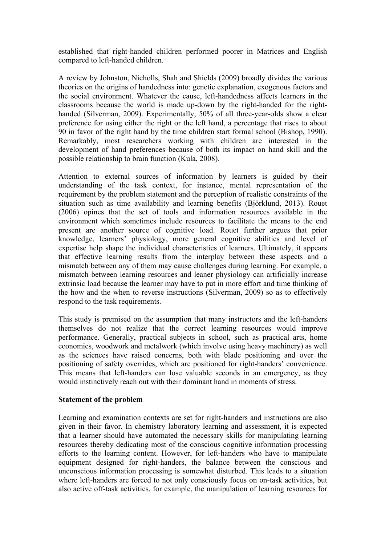established that right-handed children performed poorer in Matrices and English compared to left-handed children.

A review by Johnston, Nicholls, Shah and Shields (2009) broadly divides the various theories on the origins of handedness into: genetic explanation, exogenous factors and the social environment. Whatever the cause, left-handedness affects learners in the classrooms because the world is made up-down by the right-handed for the righthanded (Silverman, 2009). Experimentally, 50% of all three-year-olds show a clear preference for using either the right or the left hand, a percentage that rises to about 90 in favor of the right hand by the time children start formal school (Bishop, 1990). Remarkably, most researchers working with children are interested in the development of hand preferences because of both its impact on hand skill and the possible relationship to brain function (Kula, 2008).

Attention to external sources of information by learners is guided by their understanding of the task context, for instance, mental representation of the requirement by the problem statement and the perception of realistic constraints of the situation such as time availability and learning benefits (Björklund, 2013). Rouet (2006) opines that the set of tools and information resources available in the environment which sometimes include resources to facilitate the means to the end present are another source of cognitive load. Rouet further argues that prior knowledge, learners' physiology, more general cognitive abilities and level of expertise help shape the individual characteristics of learners. Ultimately, it appears that effective learning results from the interplay between these aspects and a mismatch between any of them may cause challenges during learning. For example, a mismatch between learning resources and leaner physiology can artificially increase extrinsic load because the learner may have to put in more effort and time thinking of the how and the when to reverse instructions (Silverman, 2009) so as to effectively respond to the task requirements.

This study is premised on the assumption that many instructors and the left-handers themselves do not realize that the correct learning resources would improve performance. Generally, practical subjects in school, such as practical arts, home economics, woodwork and metalwork (which involve using heavy machinery) as well as the sciences have raised concerns, both with blade positioning and over the positioning of safety overrides, which are positioned for right-handers' convenience. This means that left-handers can lose valuable seconds in an emergency, as they would instinctively reach out with their dominant hand in moments of stress.

### **Statement of the problem**

Learning and examination contexts are set for right-handers and instructions are also given in their favor. In chemistry laboratory learning and assessment, it is expected that a learner should have automated the necessary skills for manipulating learning resources thereby dedicating most of the conscious cognitive information processing efforts to the learning content. However, for left-handers who have to manipulate equipment designed for right-handers, the balance between the conscious and unconscious information processing is somewhat disturbed. This leads to a situation where left-handers are forced to not only consciously focus on on-task activities, but also active off-task activities, for example, the manipulation of learning resources for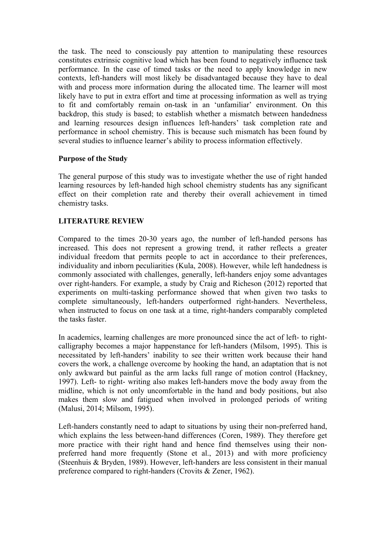the task. The need to consciously pay attention to manipulating these resources constitutes extrinsic cognitive load which has been found to negatively influence task performance. In the case of timed tasks or the need to apply knowledge in new contexts, left-handers will most likely be disadvantaged because they have to deal with and process more information during the allocated time. The learner will most likely have to put in extra effort and time at processing information as well as trying to fit and comfortably remain on-task in an 'unfamiliar' environment. On this backdrop, this study is based; to establish whether a mismatch between handedness and learning resources design influences left-handers' task completion rate and performance in school chemistry. This is because such mismatch has been found by several studies to influence learner's ability to process information effectively.

# **Purpose of the Study**

The general purpose of this study was to investigate whether the use of right handed learning resources by left-handed high school chemistry students has any significant effect on their completion rate and thereby their overall achievement in timed chemistry tasks.

# **LITERATURE REVIEW**

Compared to the times 20-30 years ago, the number of left-handed persons has increased. This does not represent a growing trend, it rather reflects a greater individual freedom that permits people to act in accordance to their preferences, individuality and inborn peculiarities (Kula, 2008). However, while left handedness is commonly associated with challenges, generally, left-handers enjoy some advantages over right-handers. For example, a study by Craig and Richeson (2012) reported that experiments on multi-tasking performance showed that when given two tasks to complete simultaneously, left-handers outperformed right-handers. Nevertheless, when instructed to focus on one task at a time, right-handers comparably completed the tasks faster.

In academics, learning challenges are more pronounced since the act of left- to rightcalligraphy becomes a major happenstance for left-handers (Milsom, 1995). This is necessitated by left-handers' inability to see their written work because their hand covers the work, a challenge overcome by hooking the hand, an adaptation that is not only awkward but painful as the arm lacks full range of motion control (Hackney, 1997). Left- to right- writing also makes left-handers move the body away from the midline, which is not only uncomfortable in the hand and body positions, but also makes them slow and fatigued when involved in prolonged periods of writing (Malusi, 2014; Milsom, 1995).

Left-handers constantly need to adapt to situations by using their non-preferred hand, which explains the less between-hand differences (Coren, 1989). They therefore get more practice with their right hand and hence find themselves using their nonpreferred hand more frequently (Stone et al., 2013) and with more proficiency (Steenhuis & Bryden, 1989). However, left-handers are less consistent in their manual preference compared to right-handers (Crovits & Zener, 1962).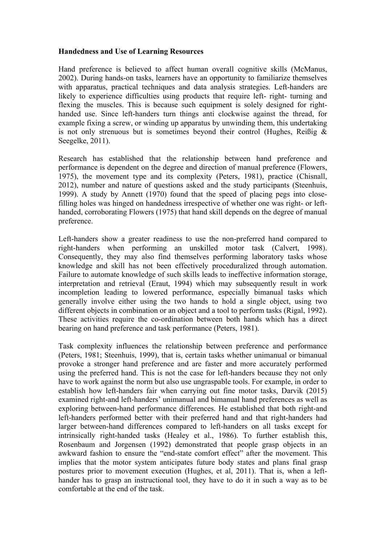### **Handedness and Use of Learning Resources**

Hand preference is believed to affect human overall cognitive skills (McManus, 2002). During hands-on tasks, learners have an opportunity to familiarize themselves with apparatus, practical techniques and data analysis strategies. Left-handers are likely to experience difficulties using products that require left- right- turning and flexing the muscles. This is because such equipment is solely designed for righthanded use. Since left-handers turn things anti clockwise against the thread, for example fixing a screw, or winding up apparatus by unwinding them, this undertaking is not only strenuous but is sometimes beyond their control (Hughes, Reißig  $\&$ Seegelke, 2011).

Research has established that the relationship between hand preference and performance is dependent on the degree and direction of manual preference (Flowers, 1975), the movement type and its complexity (Peters, 1981), practice (Chisnall, 2012), number and nature of questions asked and the study participants (Steenhuis, 1999). A study by Annett (1970) found that the speed of placing pegs into closefilling holes was hinged on handedness irrespective of whether one was right- or lefthanded, corroborating Flowers (1975) that hand skill depends on the degree of manual preference.

Left-handers show a greater readiness to use the non-preferred hand compared to right-handers when performing an unskilled motor task (Calvert, 1998). Consequently, they may also find themselves performing laboratory tasks whose knowledge and skill has not been effectively proceduralized through automation. Failure to automate knowledge of such skills leads to ineffective information storage, interpretation and retrieval (Eraut, 1994) which may subsequently result in work incompletion leading to lowered performance, especially bimanual tasks which generally involve either using the two hands to hold a single object, using two different objects in combination or an object and a tool to perform tasks (Rigal, 1992). These activities require the co-ordination between both hands which has a direct bearing on hand preference and task performance (Peters, 1981).

Task complexity influences the relationship between preference and performance (Peters, 1981; Steenhuis, 1999), that is, certain tasks whether unimanual or bimanual provoke a stronger hand preference and are faster and more accurately performed using the preferred hand. This is not the case for left-handers because they not only have to work against the norm but also use ungraspable tools. For example, in order to establish how left-handers fair when carrying out fine motor tasks, Darvik (2015) examined right-and left-handers' unimanual and bimanual hand preferences as well as exploring between-hand performance differences. He established that both right-and left-handers performed better with their preferred hand and that right-handers had larger between-hand differences compared to left-handers on all tasks except for intrinsically right-handed tasks (Healey et al., 1986). To further establish this, Rosenbaum and Jorgensen (1992) demonstrated that people grasp objects in an awkward fashion to ensure the "end-state comfort effect" after the movement. This implies that the motor system anticipates future body states and plans final grasp postures prior to movement execution (Hughes, et al, 2011). That is, when a lefthander has to grasp an instructional tool, they have to do it in such a way as to be comfortable at the end of the task.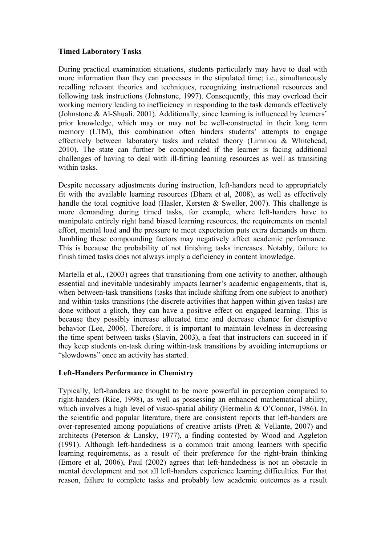# **Timed Laboratory Tasks**

During practical examination situations, students particularly may have to deal with more information than they can processes in the stipulated time; i.e., simultaneously recalling relevant theories and techniques, recognizing instructional resources and following task instructions (Johnstone, 1997). Consequently, this may overload their working memory leading to inefficiency in responding to the task demands effectively (Johnstone & Al-Shuali, 2001). Additionally, since learning is influenced by learners' prior knowledge, which may or may not be well-constructed in their long term memory (LTM), this combination often hinders students' attempts to engage effectively between laboratory tasks and related theory (Limniou & Whitehead, 2010). The state can further be compounded if the learner is facing additional challenges of having to deal with ill-fitting learning resources as well as transiting within tasks.

Despite necessary adjustments during instruction, left-handers need to appropriately fit with the available learning resources (Dhara et al, 2008), as well as effectively handle the total cognitive load (Hasler, Kersten & Sweller, 2007). This challenge is more demanding during timed tasks, for example, where left-handers have to manipulate entirely right hand biased learning resources, the requirements on mental effort, mental load and the pressure to meet expectation puts extra demands on them. Jumbling these compounding factors may negatively affect academic performance. This is because the probability of not finishing tasks increases. Notably, failure to finish timed tasks does not always imply a deficiency in content knowledge.

Martella et al., (2003) agrees that transitioning from one activity to another, although essential and inevitable undesirably impacts learner's academic engagements, that is, when between-task transitions (tasks that include shifting from one subject to another) and within-tasks transitions (the discrete activities that happen within given tasks) are done without a glitch, they can have a positive effect on engaged learning. This is because they possibly increase allocated time and decrease chance for disruptive behavior (Lee, 2006). Therefore, it is important to maintain levelness in decreasing the time spent between tasks (Slavin, 2003), a feat that instructors can succeed in if they keep students on-task during within-task transitions by avoiding interruptions or "slowdowns" once an activity has started.

# **Left-Handers Performance in Chemistry**

Typically, left-handers are thought to be more powerful in perception compared to right-handers (Rice, 1998), as well as possessing an enhanced mathematical ability, which involves a high level of visuo-spatial ability (Hermelin & O'Connor, 1986). In the scientific and popular literature, there are consistent reports that left-handers are over-represented among populations of creative artists (Preti & Vellante, 2007) and architects (Peterson & Lansky, 1977), a finding contested by Wood and Aggleton (1991). Although left-handedness is a common trait among learners with specific learning requirements, as a result of their preference for the right-brain thinking (Emore et al, 2006), Paul (2002) agrees that left-handedness is not an obstacle in mental development and not all left-handers experience learning difficulties. For that reason, failure to complete tasks and probably low academic outcomes as a result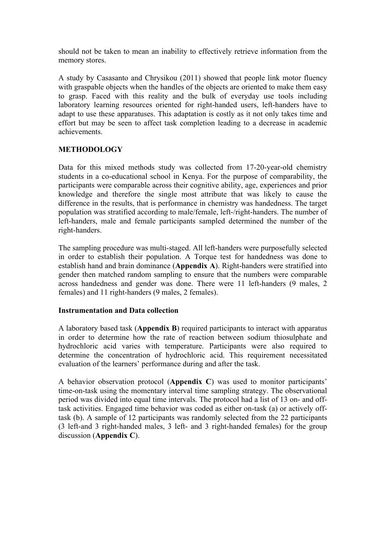should not be taken to mean an inability to effectively retrieve information from the memory stores.

A study by Casasanto and Chrysikou (2011) showed that people link motor fluency with graspable objects when the handles of the objects are oriented to make them easy to grasp. Faced with this reality and the bulk of everyday use tools including laboratory learning resources oriented for right-handed users, left-handers have to adapt to use these apparatuses. This adaptation is costly as it not only takes time and effort but may be seen to affect task completion leading to a decrease in academic achievements.

# **METHODOLOGY**

Data for this mixed methods study was collected from 17-20-year-old chemistry students in a co-educational school in Kenya. For the purpose of comparability, the participants were comparable across their cognitive ability, age, experiences and prior knowledge and therefore the single most attribute that was likely to cause the difference in the results, that is performance in chemistry was handedness. The target population was stratified according to male/female, left-/right-handers. The number of left-handers, male and female participants sampled determined the number of the right-handers.

The sampling procedure was multi-staged. All left-handers were purposefully selected in order to establish their population. A Torque test for handedness was done to establish hand and brain dominance (**Appendix A**). Right-handers were stratified into gender then matched random sampling to ensure that the numbers were comparable across handedness and gender was done. There were 11 left-handers (9 males, 2 females) and 11 right-handers (9 males, 2 females).

### **Instrumentation and Data collection**

A laboratory based task (**Appendix B**) required participants to interact with apparatus in order to determine how the rate of reaction between sodium thiosulphate and hydrochloric acid varies with temperature. Participants were also required to determine the concentration of hydrochloric acid. This requirement necessitated evaluation of the learners' performance during and after the task.

A behavior observation protocol (**Appendix C**) was used to monitor participants' time-on-task using the momentary interval time sampling strategy. The observational period was divided into equal time intervals. The protocol had a list of 13 on- and offtask activities. Engaged time behavior was coded as either on-task (a) or actively offtask (b). A sample of 12 participants was randomly selected from the 22 participants (3 left-and 3 right-handed males, 3 left- and 3 right-handed females) for the group discussion (**Appendix C**).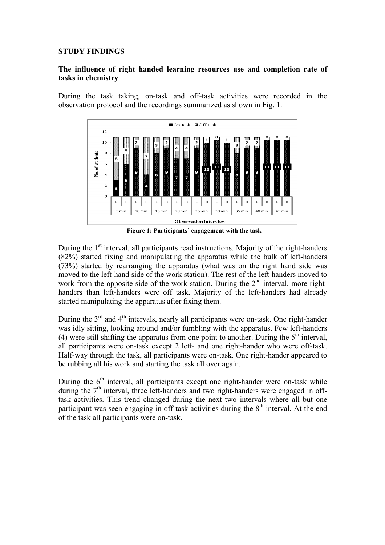### **STUDY FINDINGS**

# **The influence of right handed learning resources use and completion rate of tasks in chemistry**

During the task taking, on-task and off-task activities were recorded in the observation protocol and the recordings summarized as shown in Fig. 1.



**Figure 1: Participants' engagement with the task**

During the  $1<sup>st</sup>$  interval, all participants read instructions. Majority of the right-handers (82%) started fixing and manipulating the apparatus while the bulk of left-handers (73%) started by rearranging the apparatus (what was on the right hand side was moved to the left-hand side of the work station). The rest of the left-handers moved to work from the opposite side of the work station. During the 2<sup>nd</sup> interval, more righthanders than left-handers were off task. Majority of the left-handers had already started manipulating the apparatus after fixing them.

During the  $3<sup>rd</sup>$  and  $4<sup>th</sup>$  intervals, nearly all participants were on-task. One right-hander was idly sitting, looking around and/or fumbling with the apparatus. Few left-handers (4) were still shifting the apparatus from one point to another. During the  $5<sup>th</sup>$  interval, all participants were on-task except 2 left- and one right-hander who were off-task. Half-way through the task, all participants were on-task. One right-hander appeared to be rubbing all his work and starting the task all over again.

During the  $6<sup>th</sup>$  interval, all participants except one right-hander were on-task while during the  $7<sup>th</sup>$  interval, three left-handers and two right-handers were engaged in offtask activities. This trend changed during the next two intervals where all but one participant was seen engaging in off-task activities during the  $8<sup>th</sup>$  interval. At the end of the task all participants were on-task.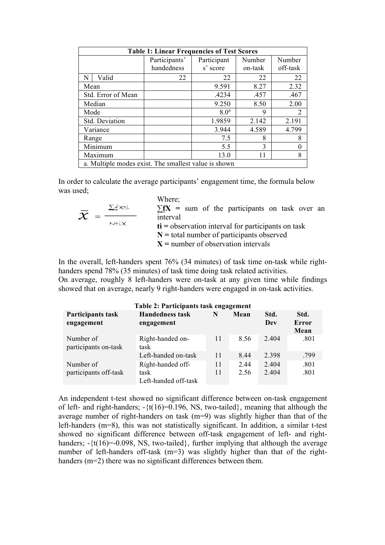| <b>Table 1: Linear Frequencies of Test Scores</b>    |               |                       |          |       |  |  |  |  |
|------------------------------------------------------|---------------|-----------------------|----------|-------|--|--|--|--|
|                                                      | Participants' | Participant           | Number   |       |  |  |  |  |
|                                                      | handedness    | s' score              | off-task |       |  |  |  |  |
| Valid<br>N                                           | 22            | 22                    | 22       | 22    |  |  |  |  |
| Mean                                                 |               | 9.591                 | 8.27     | 2.32  |  |  |  |  |
| Std. Error of Mean                                   |               | .467<br>.4234<br>.457 |          |       |  |  |  |  |
| Median                                               |               | 9.250                 | 8.50     | 2.00  |  |  |  |  |
| Mode                                                 |               | 8.0 <sup>a</sup>      | 9        | 2     |  |  |  |  |
| Std. Deviation                                       |               | 1.9859                | 2.142    | 2.191 |  |  |  |  |
| Variance                                             |               | 3.944                 | 4.589    | 4.799 |  |  |  |  |
| Range                                                |               | 7.5                   | 8        | 8     |  |  |  |  |
| Minimum                                              |               | 5.5                   | 3        |       |  |  |  |  |
| Maximum                                              |               | 8<br>13.0<br>11       |          |       |  |  |  |  |
| a. Multiple modes exist. The smallest value is shown |               |                       |          |       |  |  |  |  |

In order to calculate the average participants' engagement time, the formula below was used;

|       | Where;                                                         |
|-------|----------------------------------------------------------------|
| ∑fXtí | $\Sigma fX$ = sum of the participants on task over an          |
|       | interval                                                       |
| Ntíx  | $\mathbf{t}$ i = observation interval for participants on task |
|       | $N =$ total number of participants observed                    |
|       | $X$ = number of observation intervals                          |

In the overall, left-handers spent 76% (34 minutes) of task time on-task while righthanders spend 78% (35 minutes) of task time doing task related activities. On average, roughly 8 left-handers were on-task at any given time while findings showed that on average, nearly 9 right-handers were engaged in on-task activities.

| Table 2: Participants task engagement |                                                   |          |             |               |                       |  |  |  |
|---------------------------------------|---------------------------------------------------|----------|-------------|---------------|-----------------------|--|--|--|
| Participants task<br>engagement       | <b>Handedness task</b><br>engagement              | N        | Mean        | Std.<br>Dev   | Std.<br>Error<br>Mean |  |  |  |
| Number of<br>participants on-task     | Right-handed on-<br>task                          | 11       | 8.56        | 2.404         | .801                  |  |  |  |
|                                       | Left-handed on-task                               | 11       | 8.44        | 2.398         | .799                  |  |  |  |
| Number of<br>participants off-task    | Right-handed off-<br>task<br>Left-handed off-task | 11<br>11 | 244<br>2.56 | 2404<br>2.404 | .801<br>.801          |  |  |  |

An independent t-test showed no significant difference between on-task engagement of left- and right-handers;  $-\{(t(16)=0.196, \text{NS}, \text{two-tailed}\},$  meaning that although the average number of right-handers on task (m=9) was slightly higher than that of the left-handers (m=8), this was not statistically significant. In addition, a similar t-test showed no significant difference between off-task engagement of left- and righthanders;  $-3t(16)=0.098$ , NS, two-tailed, further implying that although the average number of left-handers off-task (m=3) was slightly higher than that of the righthanders (m=2) there was no significant differences between them.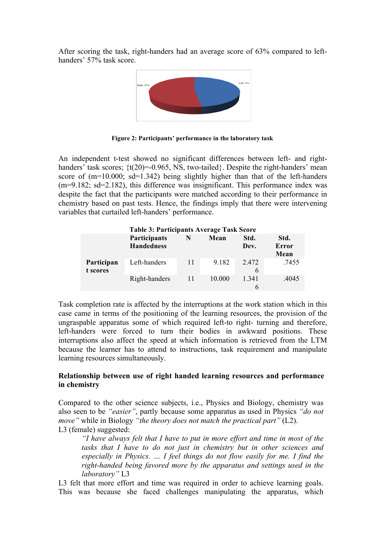After scoring the task, right-handers had an average score of 63% compared to lefthanders' 57% task score.



**Figure 2: Participants' performance in the laboratory task**

An independent t-test showed no significant differences between left- and righthanders' task scores;  $\{t(20)=0.965, \text{NS}, \text{two-tailed}\}\$ . Despite the right-handers' mean score of (m=10.000; sd=1.342) being slightly higher than that of the left-handers (m=9.182; sd=2.182), this difference was insignificant. This performance index was despite the fact that the participants were matched according to their performance in chemistry based on past tests. Hence, the findings imply that there were intervening variables that curtailed left-handers' performance.

| <b>Table 3: Participants Average Task Score</b> |                                          |    |        |              |                       |  |  |  |
|-------------------------------------------------|------------------------------------------|----|--------|--------------|-----------------------|--|--|--|
|                                                 | <b>Participants</b><br><b>Handedness</b> | N  | Mean   | Std.<br>Dev. | Std.<br>Error<br>Mean |  |  |  |
| Participan<br>t scores                          | Left-handers                             | 11 | 9.182  | 2472<br>6    | .7455                 |  |  |  |
|                                                 | Right-handers                            | 11 | 10.000 | 1 341<br>6   | .4045                 |  |  |  |

Task completion rate is affected by the interruptions at the work station which in this case came in terms of the positioning of the learning resources, the provision of the ungraspable apparatus some of which required left-to right- turning and therefore, left-handers were forced to turn their bodies in awkward positions. These interruptions also affect the speed at which information is retrieved from the LTM because the learner has to attend to instructions, task requirement and manipulate learning resources simultaneously.

# **Relationship between use of right handed learning resources and performance in chemistry**

Compared to the other science subjects, i.e., Physics and Biology, chemistry was also seen to be *"easier"*, partly because some apparatus as used in Physics *"do not move"* while in Biology *"the theory does not match the practical part"* (L2). L3 (female) suggested:

*"I have always felt that I have to put in more effort and time in most of the tasks that I have to do not just in chemistry but in other sciences and especially in Physics. … I feel things do not flow easily for me. I find the right-handed being favored more by the apparatus and settings used in the laboratory"* L3

L3 felt that more effort and time was required in order to achieve learning goals. This was because she faced challenges manipulating the apparatus, which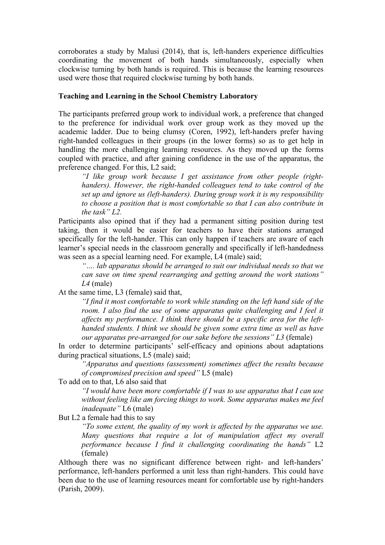corroborates a study by Malusi (2014), that is, left-handers experience difficulties coordinating the movement of both hands simultaneously, especially when clockwise turning by both hands is required. This is because the learning resources used were those that required clockwise turning by both hands.

#### **Teaching and Learning in the School Chemistry Laboratory**

The participants preferred group work to individual work, a preference that changed to the preference for individual work over group work as they moved up the academic ladder. Due to being clumsy (Coren, 1992), left-handers prefer having right-handed colleagues in their groups (in the lower forms) so as to get help in handling the more challenging learning resources. As they moved up the forms coupled with practice, and after gaining confidence in the use of the apparatus, the preference changed. For this, L2 said;

*"I like group work because I get assistance from other people (righthanders). However, the right-handed colleagues tend to take control of the set up and ignore us (left-handers). During group work it is my responsibility to choose a position that is most comfortable so that I can also contribute in the task" L2.*

Participants also opined that if they had a permanent sitting position during test taking, then it would be easier for teachers to have their stations arranged specifically for the left-hander. This can only happen if teachers are aware of each learner's special needs in the classroom generally and specifically if left-handedness was seen as a special learning need. For example, L4 (male) said;

*"…. lab apparatus should be arranged to suit our individual needs so that we can save on time spend rearranging and getting around the work stations" L4* (male)

At the same time, L3 (female) said that,

*"I find it most comfortable to work while standing on the left hand side of the room. I also find the use of some apparatus quite challenging and I feel it affects my performance. I think there should be a specific area for the lefthanded students. I think we should be given some extra time as well as have our apparatus pre-arranged for our sake before the sessions" L3* (female)

In order to determine participants' self-efficacy and opinions about adaptations during practical situations, L5 (male) said;

*"Apparatus and questions (assessment) sometimes affect the results because of compromised precision and speed"* L5 (male)

To add on to that, L6 also said that

*"I would have been more comfortable if I was to use apparatus that I can use without feeling like am forcing things to work. Some apparatus makes me feel inadequate"* L6 (male)

But L2 a female had this to say

*"To some extent, the quality of my work is affected by the apparatus we use. Many questions that require a lot of manipulation affect my overall performance because I find it challenging coordinating the hands"* L2 (female)

Although there was no significant difference between right- and left-handers' performance, left-handers performed a unit less than right-handers. This could have been due to the use of learning resources meant for comfortable use by right-handers (Parish, 2009).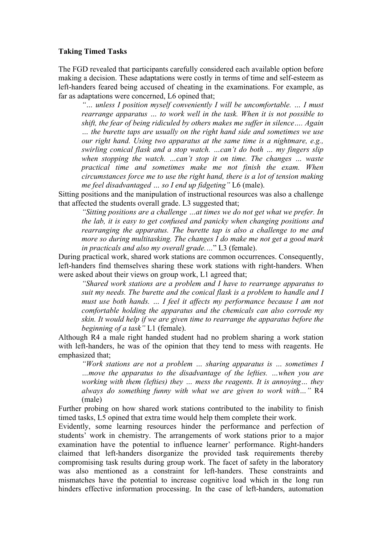#### **Taking Timed Tasks**

The FGD revealed that participants carefully considered each available option before making a decision. These adaptations were costly in terms of time and self-esteem as left-handers feared being accused of cheating in the examinations. For example, as far as adaptations were concerned, L6 opined that;

*"… unless I position myself conveniently I will be uncomfortable. … I must rearrange apparatus … to work well in the task. When it is not possible to shift, the fear of being ridiculed by others makes me suffer in silence…. Again … the burette taps are usually on the right hand side and sometimes we use our right hand. Using two apparatus at the same time is a nightmare, e.g., swirling conical flask and a stop watch. …can't do both … my fingers slip when stopping the watch. …can't stop it on time. The changes … waste practical time and sometimes make me not finish the exam. When circumstances force me to use the right hand, there is a lot of tension making me feel disadvantaged … so I end up fidgeting"* L6 (male).

Sitting positions and the manipulation of instructional resources was also a challenge that affected the students overall grade. L3 suggested that;

*"Sitting positions are a challenge …at times we do not get what we prefer. In the lab, it is easy to get confused and panicky when changing positions and rearranging the apparatus. The burette tap is also a challenge to me and more so during multitasking. The changes I do make me not get a good mark in practicals and also my overall grade.…*" L3 (female).

During practical work, shared work stations are common occurrences. Consequently, left-handers find themselves sharing these work stations with right-handers. When were asked about their views on group work, L1 agreed that;

*"Shared work stations are a problem and I have to rearrange apparatus to suit my needs. The burette and the conical flask is a problem to handle and I must use both hands. … I feel it affects my performance because I am not comfortable holding the apparatus and the chemicals can also corrode my skin. It would help if we are given time to rearrange the apparatus before the beginning of a task"* L1 (female).

Although R4 a male right handed student had no problem sharing a work station with left-handers, he was of the opinion that they tend to mess with reagents. He emphasized that;

*"Work stations are not a problem … sharing apparatus is … sometimes I …move the apparatus to the disadvantage of the lefties. …when you are working with them (lefties) they … mess the reagents. It is annoying… they always do something funny with what we are given to work with…"* R4 (male)

Further probing on how shared work stations contributed to the inability to finish timed tasks, L5 opined that extra time would help them complete their work.

Evidently, some learning resources hinder the performance and perfection of students' work in chemistry. The arrangements of work stations prior to a major examination have the potential to influence learner' performance. Right-handers claimed that left-handers disorganize the provided task requirements thereby compromising task results during group work. The facet of safety in the laboratory was also mentioned as a constraint for left-handers. These constraints and mismatches have the potential to increase cognitive load which in the long run hinders effective information processing. In the case of left-handers, automation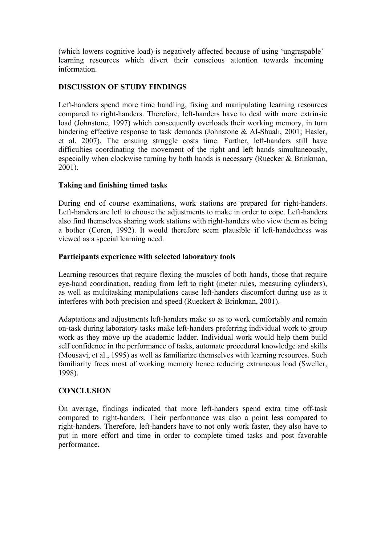(which lowers cognitive load) is negatively affected because of using 'ungraspable' learning resources which divert their conscious attention towards incoming information.

# **DISCUSSION OF STUDY FINDINGS**

Left-handers spend more time handling, fixing and manipulating learning resources compared to right-handers. Therefore, left-handers have to deal with more extrinsic load (Johnstone, 1997) which consequently overloads their working memory, in turn hindering effective response to task demands (Johnstone & Al-Shuali, 2001; Hasler, et al. 2007). The ensuing struggle costs time. Further, left-handers still have difficulties coordinating the movement of the right and left hands simultaneously, especially when clockwise turning by both hands is necessary (Ruecker & Brinkman, 2001).

# **Taking and finishing timed tasks**

During end of course examinations, work stations are prepared for right-handers. Left-handers are left to choose the adjustments to make in order to cope. Left-handers also find themselves sharing work stations with right-handers who view them as being a bother (Coren, 1992). It would therefore seem plausible if left-handedness was viewed as a special learning need.

# **Participants experience with selected laboratory tools**

Learning resources that require flexing the muscles of both hands, those that require eye-hand coordination, reading from left to right (meter rules, measuring cylinders), as well as multitasking manipulations cause left-handers discomfort during use as it interferes with both precision and speed (Rueckert & Brinkman, 2001).

Adaptations and adjustments left-handers make so as to work comfortably and remain on-task during laboratory tasks make left-handers preferring individual work to group work as they move up the academic ladder. Individual work would help them build self confidence in the performance of tasks, automate procedural knowledge and skills (Mousavi, et al., 1995) as well as familiarize themselves with learning resources. Such familiarity frees most of working memory hence reducing extraneous load (Sweller, 1998).

# **CONCLUSION**

On average, findings indicated that more left-handers spend extra time off-task compared to right-handers. Their performance was also a point less compared to right-handers. Therefore, left-handers have to not only work faster, they also have to put in more effort and time in order to complete timed tasks and post favorable performance.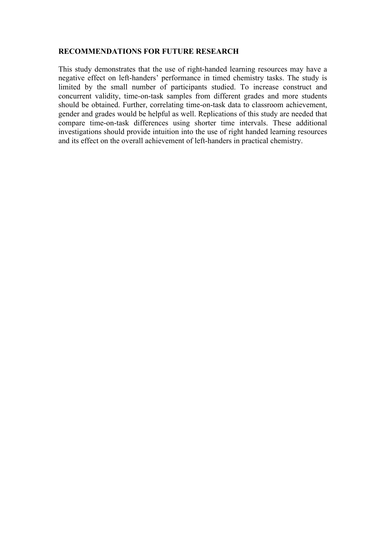### **RECOMMENDATIONS FOR FUTURE RESEARCH**

This study demonstrates that the use of right-handed learning resources may have a negative effect on left-handers' performance in timed chemistry tasks. The study is limited by the small number of participants studied. To increase construct and concurrent validity, time-on-task samples from different grades and more students should be obtained. Further, correlating time-on-task data to classroom achievement, gender and grades would be helpful as well. Replications of this study are needed that compare time-on-task differences using shorter time intervals. These additional investigations should provide intuition into the use of right handed learning resources and its effect on the overall achievement of left-handers in practical chemistry.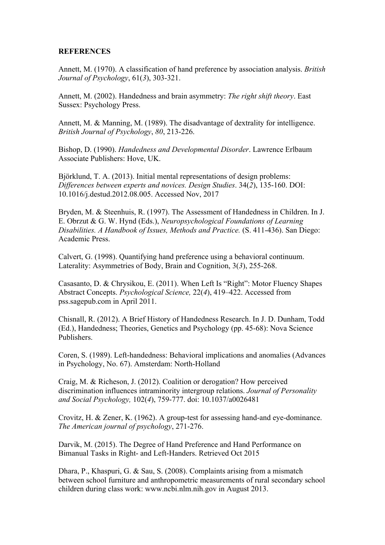### **REFERENCES**

Annett, M. (1970). A classification of hand preference by association analysis. *British Journal of Psychology*, 61(*3*), 303-321.

Annett, M. (2002). Handedness and brain asymmetry: *The right shift theory*. East Sussex: Psychology Press.

Annett, M. & Manning, M. (1989). The disadvantage of dextrality for intelligence. *British Journal of Psychology*, *80*, 213-226.

Bishop, D. (1990). *Handedness and Developmental Disorder*. Lawrence Erlbaum Associate Publishers: Hove, UK.

Björklund, T. A. (2013). Initial mental representations of design problems: *Differences between experts and novices. Design Studies*. 34(*2*), 135-160. DOI: 10.1016/j.destud.2012.08.005. Accessed Nov, 2017

Bryden, M. & Steenhuis, R. (1997). The Assessment of Handedness in Children. In J. E. Obrzut & G. W. Hynd (Eds.), *Neuropsychological Foundations of Learning Disabilities. A Handbook of Issues, Methods and Practice.* (S. 411-436). San Diego: Academic Press.

Calvert, G. (1998). Quantifying hand preference using a behavioral continuum. Laterality: Asymmetries of Body, Brain and Cognition, 3(*3*), 255-268.

Casasanto, D. & Chrysikou, E. (2011). When Left Is "Right": Motor Fluency Shapes Abstract Concepts. *Psychological Science,* 22(*4*), 419–422. Accessed from pss.sagepub.com in April 2011.

Chisnall, R. (2012). A Brief History of Handedness Research. In J. D. Dunham, Todd (Ed.), Handedness; Theories, Genetics and Psychology (pp. 45-68): Nova Science Publishers.

Coren, S. (1989). Left-handedness: Behavioral implications and anomalies (Advances in Psychology, No. 67). Amsterdam: North-Holland

Craig, M. & Richeson, J. (2012). Coalition or derogation? How perceived discrimination influences intraminority intergroup relations. *Journal of Personality and Social Psychology,* 102(*4*), 759-777. doi: 10.1037/a0026481

Crovitz, H. & Zener, K. (1962). A group-test for assessing hand-and eye-dominance. *The American journal of psychology*, 271-276.

Darvik, M. (2015). The Degree of Hand Preference and Hand Performance on Bimanual Tasks in Right- and Left-Handers. Retrieved Oct 2015

Dhara, P., Khaspuri, G. & Sau, S. (2008). Complaints arising from a mismatch between school furniture and anthropometric measurements of rural secondary school children during class work: www.ncbi.nlm.nih.gov in August 2013.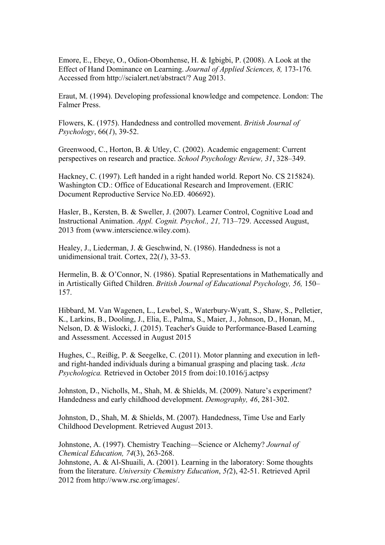Emore, E., Ebeye, O., Odion-Obomhense, H. & Igbigbi, P. (2008). A Look at the Effect of Hand Dominance on Learning. *Journal of Applied Sciences, 8,* 173-176*.*  Accessed from http://scialert.net/abstract/? Aug 2013.

Eraut, M. (1994). Developing professional knowledge and competence. London: The Falmer Press.

Flowers, K. (1975). Handedness and controlled movement. *British Journal of Psychology*, 66(*1*), 39-52.

Greenwood, C., Horton, B. & Utley, C. (2002). Academic engagement: Current perspectives on research and practice. *School Psychology Review, 31*, 328–349.

Hackney, C. (1997). Left handed in a right handed world. Report No. CS 215824). Washington CD.: Office of Educational Research and Improvement. (ERIC Document Reproductive Service No.ED. 406692).

Hasler, B., Kersten, B. & Sweller, J. (2007). Learner Control, Cognitive Load and Instructional Animation. *Appl. Cognit. Psychol., 21,* 713–729. Accessed August, 2013 from (www.interscience.wiley.com).

Healey, J., Liederman, J. & Geschwind, N. (1986). Handedness is not a unidimensional trait. Cortex, 22(*1*), 33-53.

Hermelin, B. & O'Connor, N. (1986). Spatial Representations in Mathematically and in Artistically Gifted Children. *British Journal of Educational Psychology, 56,* 150– 157.

Hibbard, M. Van Wagenen, L., Lewbel, S., Waterbury-Wyatt, S., Shaw, S., Pelletier, K., Larkins, B., Dooling, J., Elia, E., Palma, S., Maier, J., Johnson, D., Honan, M., Nelson, D. & Wislocki, J. (2015). Teacher's Guide to Performance-Based Learning and Assessment. Accessed in August 2015

Hughes, C., Reißig, P. & Seegelke, C. (2011). Motor planning and execution in leftand right-handed individuals during a bimanual grasping and placing task. *Acta Psychologica.* Retrieved in October 2015 from doi:10.1016/j.actpsy

Johnston, D., Nicholls, M., Shah, M. & Shields, M. (2009). Nature's experiment? Handedness and early childhood development. *Demography, 46*, 281-302.

Johnston, D., Shah, M. & Shields, M. (2007). Handedness, Time Use and Early Childhood Development. Retrieved August 2013.

Johnstone, A. (1997)*.* Chemistry Teaching—Science or Alchemy? *Journal of Chemical Education, 74*(3), 263-268.

Johnstone, A. & Al-Shuaili, A. (2001). Learning in the laboratory: Some thoughts from the literature. *University Chemistry Education*, *5(*2), 42-51. Retrieved April 2012 from http://www.rsc.org/images/.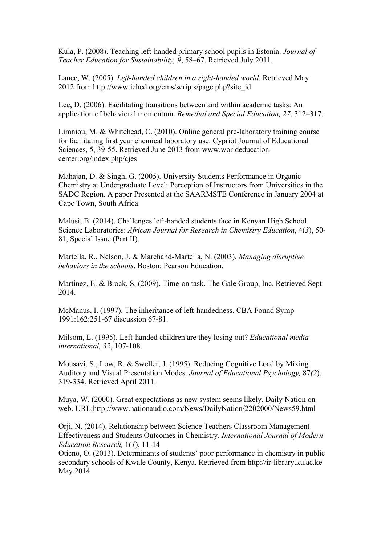Kula, P. (2008). Teaching left-handed primary school pupils in Estonia. *Journal of Teacher Education for Sustainability, 9*, 58–67. Retrieved July 2011.

Lance, W. (2005). *Left-handed children in a right-handed world*. Retrieved May 2012 from http://www.iched.org/cms/scripts/page.php?site\_id

Lee, D. (2006). Facilitating transitions between and within academic tasks: An application of behavioral momentum. *Remedial and Special Education, 27*, 312–317.

Limniou, M. & Whitehead, C. (2010). Online general pre-laboratory training course for facilitating first year chemical laboratory use. Cypriot Journal of Educational Sciences, 5, 39-55. Retrieved June 2013 from www.worldeducationcenter.org/index.php/cjes

Mahajan, D. & Singh, G. (2005). University Students Performance in Organic Chemistry at Undergraduate Level: Perception of Instructors from Universities in the SADC Region. A paper Presented at the SAARMSTE Conference in January 2004 at Cape Town, South Africa.

Malusi, B. (2014). Challenges left-handed students face in Kenyan High School Science Laboratories: *African Journal for Research in Chemistry Education*, 4(*3*), 50- 81, Special Issue (Part II).

Martella, R., Nelson, J. & Marchand-Martella, N. (2003). *Managing disruptive behaviors in the schools*. Boston: Pearson Education.

Martinez, E. & Brock, S. (2009). Time-on task. The Gale Group, Inc. Retrieved Sept 2014.

McManus, I. (1997). The inheritance of left-handedness. CBA Found Symp 1991:162:251-67 discussion 67-81.

Milsom, L. (1995). Left-handed children are they losing out? *Educational media international, 32*, 107-108.

Mousavi, S., Low, R. & Sweller, J. (1995). Reducing Cognitive Load by Mixing Auditory and Visual Presentation Modes. *Journal of Educational Psychology,* 87*(2*), 319-334. Retrieved April 2011.

Muya, W. (2000). Great expectations as new system seems likely. Daily Nation on web. URL:http://www.nationaudio.com/News/DailyNation/2202000/News59.html

Orji, N. (2014). Relationship between Science Teachers Classroom Management Effectiveness and Students Outcomes in Chemistry. *International Journal of Modern Education Research,* 1(*1*), 11-14

Otieno, O. (2013). Determinants of students' poor performance in chemistry in public secondary schools of Kwale County, Kenya. Retrieved from http://ir-library.ku.ac.ke May 2014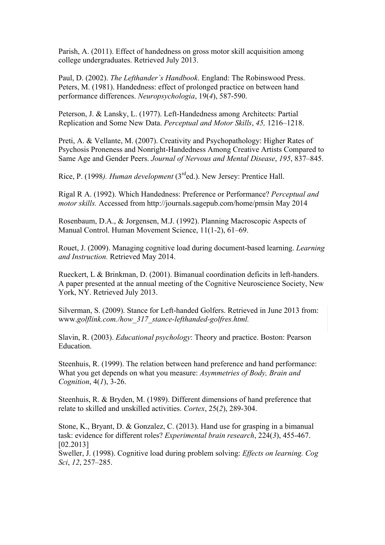Parish, A. (2011). Effect of handedness on gross motor skill acquisition among college undergraduates. Retrieved July 2013.

Paul, D. (2002). *The Lefthander`s Handbook*. England: The Robinswood Press. Peters, M. (1981). Handedness: effect of prolonged practice on between hand performance differences. *Neuropsychologia*, 19(*4*), 587-590.

Peterson, J. & Lansky, L. (1977). Left-Handedness among Architects: Partial Replication and Some New Data. *Perceptual and Motor Skills*, *45,* 1216–1218.

Preti, A. & Vellante, M. (2007). Creativity and Psychopathology: Higher Rates of Psychosis Proneness and Nonright-Handedness Among Creative Artists Compared to Same Age and Gender Peers. *Journal of Nervous and Mental Disease*, *195*, 837–845.

Rice, P. (1998*). Human development* (3rded.). New Jersey: Prentice Hall.

Rigal R A. (1992). Which Handedness: Preference or Performance? *Perceptual and motor skills.* Accessed from http://journals.sagepub.com/home/pmsin May 2014

Rosenbaum, D.A., & Jorgensen, M.J. (1992). Planning Macroscopic Aspects of Manual Control. Human Movement Science, 11(1-2), 61–69.

Rouet, J. (2009). Managing cognitive load during document-based learning. *Learning and Instruction.* Retrieved May 2014.

Rueckert, L & Brinkman, D. (2001). Bimanual coordination deficits in left-handers. A paper presented at the annual meeting of the Cognitive Neuroscience Society, New York, NY. Retrieved July 2013.

Silverman, S. (2009). Stance for Left-handed Golfers. Retrieved in June 2013 from: www.*golflink.com./how\_317\_stance-lefthanded-golfres.html.*

Slavin, R. (2003). *Educational psychology*: Theory and practice. Boston: Pearson **Education** 

Steenhuis, R. (1999). The relation between hand preference and hand performance: What you get depends on what you measure: *Asymmetries of Body, Brain and Cognition*, 4(*1*), 3-26.

Steenhuis, R. & Bryden, M. (1989). Different dimensions of hand preference that relate to skilled and unskilled activities. *Cortex*, 25(*2*), 289-304.

Stone, K., Bryant, D. & Gonzalez, C. (2013). Hand use for grasping in a bimanual task: evidence for different roles? *Experimental brain research*, 224(*3*), 455-467. [02.2013]

Sweller, J. (1998). Cognitive load during problem solving: *Effects on learning. Cog Sci*, *12*, 257–285.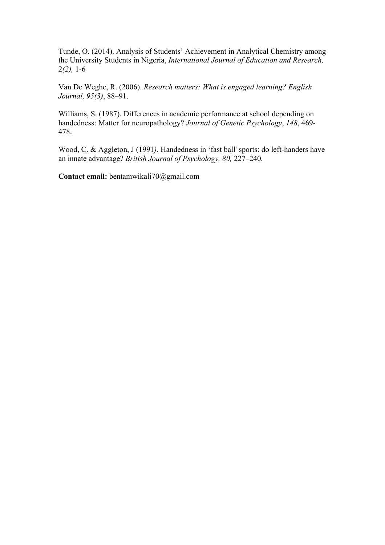Tunde, O. (2014). Analysis of Students' Achievement in Analytical Chemistry among the University Students in Nigeria, *International Journal of Education and Research,*  2*(2),* 1-6

Van De Weghe, R. (2006). *Research matters: What is engaged learning? English Journal, 95(3)*, 88–91.

Williams, S. (1987). Differences in academic performance at school depending on handedness: Matter for neuropathology? *Journal of Genetic Psychology*, *148*, 469- 478.

Wood, C. & Aggleton, J (1991*).* Handedness in 'fast ball' sports: do left-handers have an innate advantage? *British Journal of Psychology, 80,* 227*–*240*.*

**Contact email:** bentamwikali70@gmail.com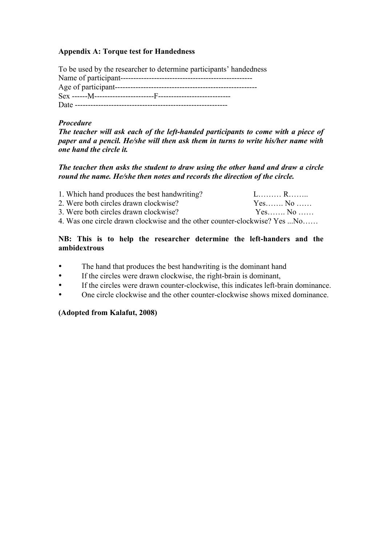# **Appendix A: Torque test for Handedness**

To be used by the researcher to determine participants' handedness Name of participant--------------------------------------------------- Age of participant------------------------------------------------------- Sex ------M-----------------------F---------------------------- Date -----------------------------------------------------------

#### *Procedure*

*The teacher will ask each of the left-handed participants to come with a piece of paper and a pencil. He/she will then ask them in turns to write his/her name with one hand the circle it.* 

*The teacher then asks the student to draw using the other hand and draw a circle round the name. He/she then notes and records the direction of the circle.* 

| 1. Which hand produces the best handwriting?                              |        |
|---------------------------------------------------------------------------|--------|
| 2. Were both circles drawn clockwise?                                     | Yes No |
| 3. Were both circles drawn clockwise?                                     | Yes No |
| 4. Was one circle drawn clockwise and the other counter-clockwise? Yes No |        |

# **NB: This is to help the researcher determine the left-handers and the ambidextrous**

- The hand that produces the best handwriting is the dominant hand
- If the circles were drawn clockwise, the right-brain is dominant,
- If the circles were drawn counter-clockwise, this indicates left-brain dominance.
- One circle clockwise and the other counter-clockwise shows mixed dominance

### **(Adopted from Kalafut, 2008)**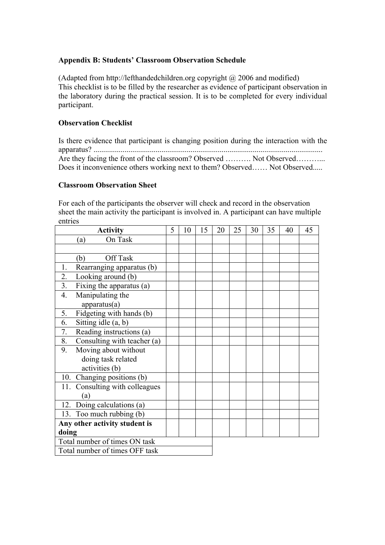## **Appendix B: Students' Classroom Observation Schedule**

(Adapted from http://lefthandedchildren.org copyright @ 2006 and modified) This checklist is to be filled by the researcher as evidence of participant observation in the laboratory during the practical session. It is to be completed for every individual participant.

# **Observation Checklist**

Is there evidence that participant is changing position during the interaction with the apparatus? ...................................................................................................................... Are they facing the front of the classroom? Observed ………. Not Observed……….. Does it inconvenience others working next to them? Observed…… Not Observed.....

### **Classroom Observation Sheet**

For each of the participants the observer will check and record in the observation sheet the main activity the participant is involved in. A participant can have multiple entries

| <b>Activity</b>                              | 5 | 10 | 15 | 20 | 25 | 30 | 35 | 40 | 45 |
|----------------------------------------------|---|----|----|----|----|----|----|----|----|
| On Task<br>(a)                               |   |    |    |    |    |    |    |    |    |
|                                              |   |    |    |    |    |    |    |    |    |
| Off Task<br>(b)                              |   |    |    |    |    |    |    |    |    |
| Rearranging apparatus (b)<br>1.              |   |    |    |    |    |    |    |    |    |
| 2.<br>Looking around (b)                     |   |    |    |    |    |    |    |    |    |
| $\overline{3}$ .<br>Fixing the apparatus (a) |   |    |    |    |    |    |    |    |    |
| 4.<br>Manipulating the<br>apparatus(a)       |   |    |    |    |    |    |    |    |    |
| 5.<br>Fidgeting with hands (b)               |   |    |    |    |    |    |    |    |    |
| 6.<br>Sitting idle $(a, b)$                  |   |    |    |    |    |    |    |    |    |
| Reading instructions (a)<br>7.               |   |    |    |    |    |    |    |    |    |
| 8.<br>Consulting with teacher (a)            |   |    |    |    |    |    |    |    |    |
| Moving about without<br>9.                   |   |    |    |    |    |    |    |    |    |
| doing task related                           |   |    |    |    |    |    |    |    |    |
| activities (b)                               |   |    |    |    |    |    |    |    |    |
| 10. Changing positions (b)                   |   |    |    |    |    |    |    |    |    |
| Consulting with colleagues<br>11.            |   |    |    |    |    |    |    |    |    |
| (a)                                          |   |    |    |    |    |    |    |    |    |
| 12. Doing calculations (a)                   |   |    |    |    |    |    |    |    |    |
| 13. Too much rubbing (b)                     |   |    |    |    |    |    |    |    |    |
| Any other activity student is                |   |    |    |    |    |    |    |    |    |
| doing                                        |   |    |    |    |    |    |    |    |    |
| Total number of times ON task                |   |    |    |    |    |    |    |    |    |
| Total number of times OFF task               |   |    |    |    |    |    |    |    |    |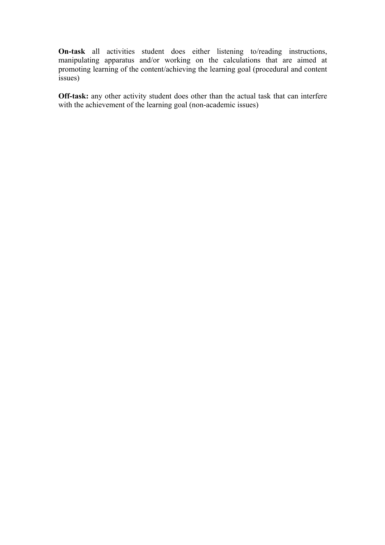**On-task** all activities student does either listening to/reading instructions, manipulating apparatus and/or working on the calculations that are aimed at promoting learning of the content/achieving the learning goal (procedural and content issues)

**Off-task:** any other activity student does other than the actual task that can interfere with the achievement of the learning goal (non-academic issues)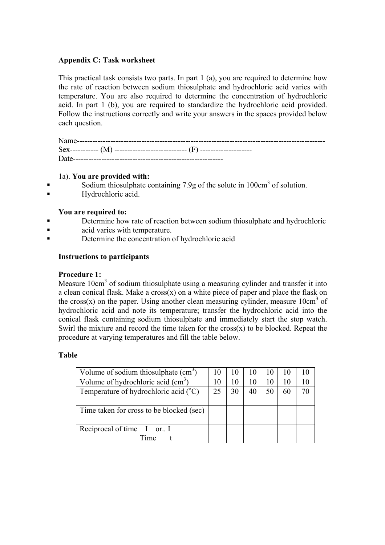# **Appendix C: Task worksheet**

This practical task consists two parts. In part 1 (a), you are required to determine how the rate of reaction between sodium thiosulphate and hydrochloric acid varies with temperature. You are also required to determine the concentration of hydrochloric acid. In part 1 (b), you are required to standardize the hydrochloric acid provided. Follow the instructions correctly and write your answers in the spaces provided below each question.

Name------------------------------------------------------------------------------------------------ Sex----------- (M) ---------------------------- (F) -------------------- Date----------------------------------------------------------

### 1a). **You are provided with:**

- Sodium thiosulphate containing 7.9g of the solute in 100cm<sup>3</sup> of solution.
- Hydrochloric acid.

### **You are required to:**

- Determine how rate of reaction between sodium thiosulphate and hydrochloric
- acid varies with temperature.
- Determine the concentration of hydrochloric acid

# **Instructions to participants**

### **Procedure 1:**

Measure 10cm3 of sodium thiosulphate using a measuring cylinder and transfer it into a clean conical flask. Make a  $\cos(x)$  on a white piece of paper and place the flask on the cross(x) on the paper. Using another clean measuring cylinder, measure  $10 \text{cm}^3$  of hydrochloric acid and note its temperature; transfer the hydrochloric acid into the conical flask containing sodium thiosulphate and immediately start the stop watch. Swirl the mixture and record the time taken for the  $\cos(x)$  to be blocked. Repeat the procedure at varying temperatures and fill the table below.

### **Table**

| Volume of sodium thiosulphate $(cm3)$          |    | 10 | 10 |    | 10 | 10 |
|------------------------------------------------|----|----|----|----|----|----|
| Volume of hydrochloric acid $(cm3)$            | 10 | 10 | 10 |    | 10 | 10 |
| Temperature of hydrochloric acid $(^{\circ}C)$ | 25 | 30 |    | 50 | 60 | 70 |
|                                                |    |    |    |    |    |    |
| Time taken for cross to be blocked (sec)       |    |    |    |    |    |    |
|                                                |    |    |    |    |    |    |
| Reciprocal of time I or. I                     |    |    |    |    |    |    |
| Time                                           |    |    |    |    |    |    |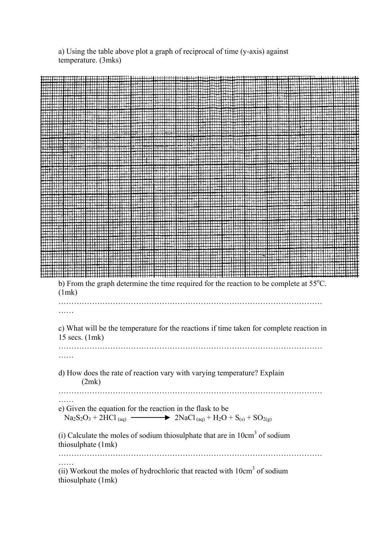a) Using the table above plot a graph of reciprocal of time (y-axis) against temperature. (3mks)

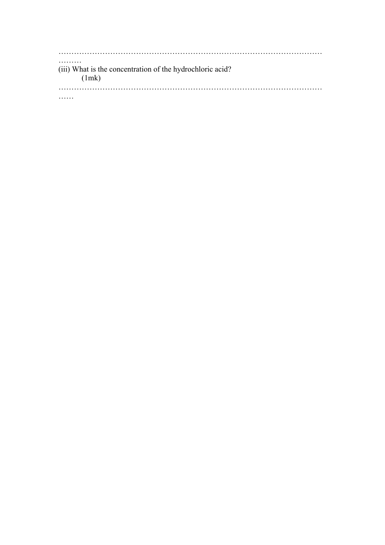………………………………………………………………………………………… ……… (iii) What is the concentration of the hydrochloric acid? (1mk) ………………………………………………………………………………………… ……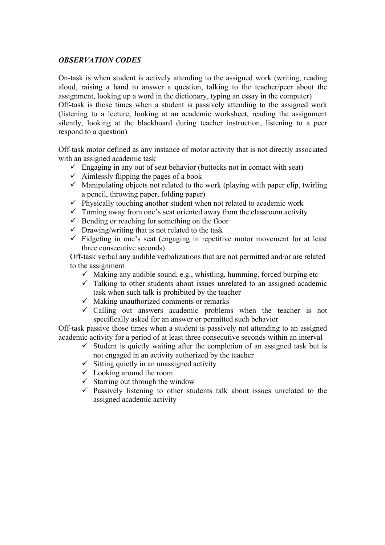# *OBSERVATION CODES*

On-task is when student is actively attending to the assigned work (writing, reading aloud, raising a hand to answer a question, talking to the teacher/peer about the assignment, looking up a word in the dictionary, typing an essay in the computer) Off-task is those times when a student is passively attending to the assigned work (listening to a lecture, looking at an academic worksheet, reading the assignment silently, looking at the blackboard during teacher instruction, listening to a peer respond to a question)

Off-task motor defined as any instance of motor activity that is not directly associated with an assigned academic task

- $\checkmark$  Engaging in any out of seat behavior (buttocks not in contact with seat)
- $\checkmark$  Aimlessly flipping the pages of a book
- $\checkmark$  Manipulating objects not related to the work (playing with paper clip, twirling a pencil, throwing paper, folding paper)
- $\checkmark$  Physically touching another student when not related to academic work
- $\checkmark$  Turning away from one's seat oriented away from the classroom activity
- $\checkmark$  Bending or reaching for something on the floor
- $\checkmark$  Drawing/writing that is not related to the task
- $\checkmark$  Fidgeting in one's seat (engaging in repetitive motor movement for at least three consecutive seconds)

Off-task verbal any audible verbalizations that are not permitted and/or are related to the assignment

- $\checkmark$  Making any audible sound, e.g., whistling, humming, forced burping etc
- $\checkmark$  Talking to other students about issues unrelated to an assigned academic task when such talk is prohibited by the teacher
- $\checkmark$  Making unauthorized comments or remarks
- $\checkmark$  Calling out answers academic problems when the teacher is not specifically asked for an answer or permitted such behavior

Off-task passive those times when a student is passively not attending to an assigned academic activity for a period of at least three consecutive seconds within an interval

- $\checkmark$  Student is quietly waiting after the completion of an assigned task but is not engaged in an activity authorized by the teacher
- $\checkmark$  Sitting quietly in an unassigned activity
- $\checkmark$  Looking around the room
- $\checkmark$  Starring out through the window
- $\checkmark$  Passively listening to other students talk about issues unrelated to the assigned academic activity